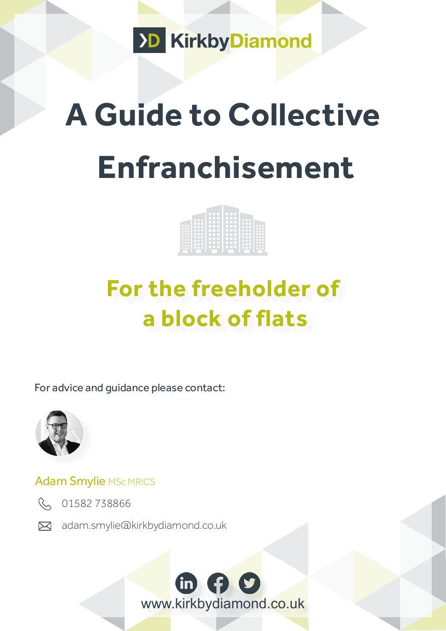

# **A Guide to Collective Enfranchisement**



## **For the freeholder of a block of flats**

For advice and guidance please contact:



### Adam Smylie MSc MRICS



R 01582738866

adam.smylie@kirkbydiamond.co.uk

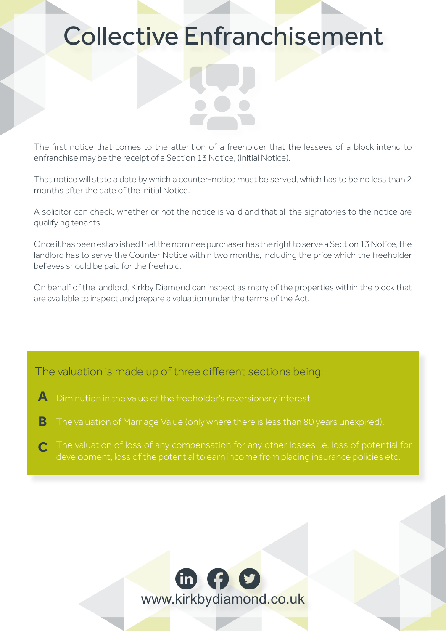### Collective Enfranchisement

The first notice that comes to the attention of a freeholder that the lessees of a block intend to enfranchise may be the receipt of a Section 13 Notice, (Initial Notice).

That notice will state a date by which a counter-notice must be served, which has to be no less than 2 months after the date of the Initial Notice.

A solicitor can check, whether or not the notice is valid and that all the signatories to the notice are qualifying tenants.

Once it has been established that the nominee purchaser has the right to serve a Section 13 Notice, the landlord has to serve the Counter Notice within two months, including the price which the freeholder believes should be paid for the freehold.

On behalf of the landlord, Kirkby Diamond can inspect as many of the properties within the block that are available to inspect and prepare a valuation under the terms of the Act.

#### The valuation is made up of three different sections being:

- Diminution in the value of the freeholder's reversionary interest **A**
- The valuation of Marriage Value (only where there is less than 80 years unexpired). **B**
- development, loss of the potential to earn income from placing insurance policies etc. **C**